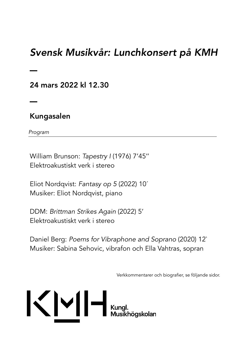# *Svensk Musikvår: Lunchkonsert på KMH*

24 mars 2022 kl 12.30

# Kungasalen

*Program* 

–

–

William Brunson: *Tapestry I* (1976) 7'45'' Elektroakustiskt verk i stereo

Eliot Nordqvist: *Fantasy op 5* (2022) 10´ Musiker: Eliot Nordqvist, piano

DDM: *Brittman Strikes Again* (2022) 5' Elektroakustiskt verk i stereo

Daniel Berg: *Poems for Vibraphone and Soprano* (2020) 12` Musiker: Sabina Sehovic, vibrafon och Ella Vahtras, sopran

Verkkommentarer och biografier, se följande sidor.

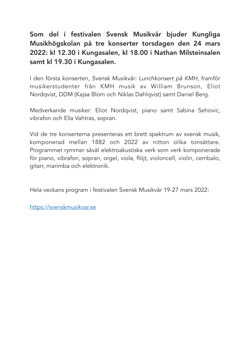# Som del i festivalen Svensk Musikvår bjuder Kungliga Musikhögskolan på tre konserter torsdagen den 24 mars 2022: kl 12.30 i Kungasalen, kl 18.00 i Nathan Milsteinsalen samt kl 19.30 i Kungasalen.

I den första konserten, *Svensk Musikvår: Lunchkonsert på KMH,* framför musikerstudenter från KMH musik av William Brunson, Eliot Nordqvist, DDM (Kajsa Blom och Niklas Dahlqvist) samt Daniel Berg.

Medverkande musiker: Eliot Nordqvist, piano samt Sabina Sehovic, vibrafon och Ella Vahtras, sopran.

Vid de tre konserterna presenteras ett brett spektrum av svensk musik, komponerad mellan 1882 och 2022 av nitton olika tonsättare. Programmet rymmer såväl elektroakustiska verk som verk komponerade för piano, vibrafon, sopran, orgel, viola, flöjt, violoncell, violin, cembalo, gitarr, marimba och elektronik.

Hela veckans program i festivalen Svensk Musikvår 19-27 mars 2022:

<https://svenskmusikvar.se>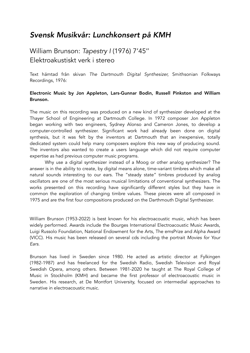# *Svensk Musikvår: Lunchkonsert på KMH*

# William Brunson: *Tapestry I* (1976) 7'45'' Elektroakustiskt verk i stereo

Text hämtad från skivan *The Dartmouth Digital Synthesizer,* Smithsonian Folkways Recordings, 1976:

### Electronic Music by Jon Appleton, Lars-Gunnar Bodin, Russell Pinkston and William Brunson.

The music on this recording was produced on a new kind of synthesizer developed at the Thayer School of Engineering at Dartmouth College. In 1972 composer Jon Appleton began working with two engineers, Sydney Alonso and Cameron Jones, to develop a computer-controlled synthesizer. Significant work had already been done on digital synthesis, but it was felt by the inventors at Dartmouth that an inexpensive, totally dedicated system could help many composers explore this new way of producing sound. The inventors also wanted to create a users language which did not require computer expertise as had previous computer music programs.

 Why use a digital synthesizer instead of a Moog or other analog synthesizer? The answer is in the ability to create, by digital means alone, time-variant timbres which make all natural sounds interesting to our ears. The "steady state" timbres produced by analog oscillators are one of the most serious musical limitations of conventional synthesizers. The works presented on this recording have significantly different styles but they have in common the exploration of changing timbre values. These pieces were all composed in 1975 and are the first four compositions produced on the Darthmouth Digital Synthesizer.

William Brunson (1953-2022) is best known for his electroacoustic music, which has been widely performed. Awards include the Bourges International Electroacoustic Music Awards, Luigi Russolo Foundation, National Endowment for the Arts, The emsPrize and Alpha Award (VICC). His music has been released on several cds including the portrait *Movies for Your Ears*.

Brunson has lived in Sweden since 1980. He acted as artistic director at Fylkingen (1982-1987) and has freelanced for the Swedish Radio, Swedish Television and Royal Swedish Opera, among others. Between 1981-2020 he taught at The Royal College of Music in Stockholm (KMH) and became the first professor of electroacoustic music in Sweden. His research, at De Montfort University, focused on intermedial approaches to narrative in electroacoustic music.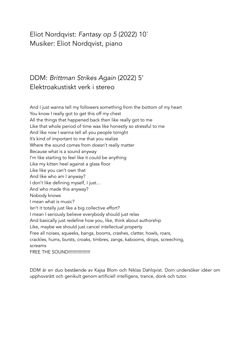# Eliot Nordqvist: *Fantasy op 5* (2022) 10´ Musiker: Eliot Nordqvist, piano

# DDM: *Brittman Strikes Again* (2022) 5' Elektroakustiskt verk i stereo

And I just wanna tell my followers something from the bottom of my heart You know I really got to get this off my chest All the things that happened back then like really got to me Like that whole period of time was like honestly so stressful to me And like now I wanna tell all you people tonight It's kind of important to me that you realize Where the sound comes from doesn't really matter Because what is a sound anyway I'm like starting to feel like it could be anything Like my kitten heel against a glass floor Like like you can't own that And like who am I anyway? I don't like defining myself, I just… And who made this anyway? Nobody knows I mean what is music? Isn't it totally just like a big collective effort? I mean I seriously believe everybody should just relax And basically just redefine how you, like, think about authorship Like, maybe we should just cancel intellectual property Free all noises, squeeks, bangs, booms, crashes, clatter, howls, roars, crackles, hums, bursts, croaks, timbres, zangs, kabooms, drops, screeching, screams FREE THE SOUND!!!!!!!!!!!!!!!!!!

DDM är en duo bestående av Kajsa Blom och Niklas Dahlqvist. Dom undersöker idéer om upphovsrätt och genikult genom artificiell intelligens, trance, donk och tutor.